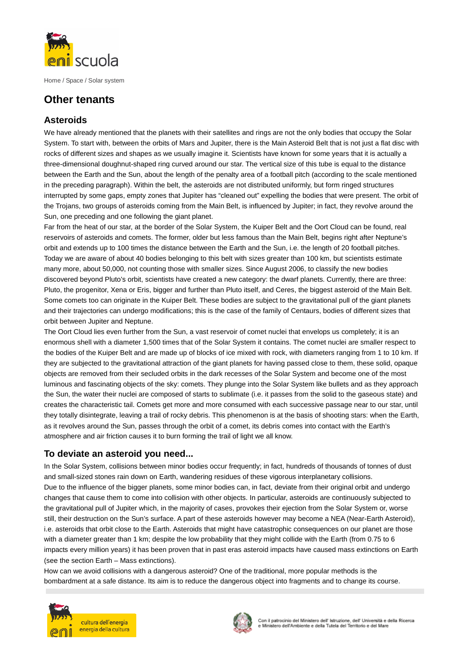

Home / Space / Solar system

## **Other tenants**

## **Asteroids**

We have already mentioned that the planets with their satellites and rings are not the only bodies that occupy the Solar System. To start with, between the orbits of Mars and Jupiter, there is the Main Asteroid Belt that is not just a flat disc with rocks of different sizes and shapes as we usually imagine it. Scientists have known for some years that it is actually a three-dimensional doughnut-shaped ring curved around our star. The vertical size of this tube is equal to the distance between the Earth and the Sun, about the length of the penalty area of a football pitch (according to the scale mentioned in the preceding paragraph). Within the belt, the asteroids are not distributed uniformly, but form ringed structures interrupted by some gaps, empty zones that Jupiter has "cleaned out" expelling the bodies that were present. The orbit of the Trojans, two groups of asteroids coming from the Main Belt, is influenced by Jupiter; in fact, they revolve around the Sun, one preceding and one following the giant planet.

Far from the heat of our star, at the border of the Solar System, the Kuiper Belt and the Oort Cloud can be found, real reservoirs of asteroids and comets. The former, older but less famous than the Main Belt, begins right after Neptune's orbit and extends up to 100 times the distance between the Earth and the Sun, i.e. the length of 20 football pitches. Today we are aware of about 40 bodies belonging to this belt with sizes greater than 100 km, but scientists estimate many more, about 50,000, not counting those with smaller sizes. Since August 2006, to classify the new bodies discovered beyond Pluto's orbit, scientists have created a new category: the dwarf planets. Currently, there are three: Pluto, the progenitor, Xena or Eris, bigger and further than Pluto itself, and Ceres, the biggest asteroid of the Main Belt. Some comets too can originate in the Kuiper Belt. These bodies are subject to the gravitational pull of the giant planets and their trajectories can undergo modifications; this is the case of the family of Centaurs, bodies of different sizes that orbit between Jupiter and Neptune.

The Oort Cloud lies even further from the Sun, a vast reservoir of comet nuclei that envelops us completely; it is an enormous shell with a diameter 1,500 times that of the Solar System it contains. The comet nuclei are smaller respect to the bodies of the Kuiper Belt and are made up of blocks of ice mixed with rock, with diameters ranging from 1 to 10 km. If they are subjected to the gravitational attraction of the giant planets for having passed close to them, these solid, opaque objects are removed from their secluded orbits in the dark recesses of the Solar System and become one of the most luminous and fascinating objects of the sky: comets. They plunge into the Solar System like bullets and as they approach the Sun, the water their nuclei are composed of starts to sublimate (i.e. it passes from the solid to the gaseous state) and creates the characteristic tail. Comets get more and more consumed with each successive passage near to our star, until they totally disintegrate, leaving a trail of rocky debris. This phenomenon is at the basis of shooting stars: when the Earth, as it revolves around the Sun, passes through the orbit of a comet, its debris comes into contact with the Earth's atmosphere and air friction causes it to burn forming the trail of light we all know.

## **To deviate an asteroid you need...**

In the Solar System, collisions between minor bodies occur frequently; in fact, hundreds of thousands of tonnes of dust and small-sized stones rain down on Earth, wandering residues of these vigorous interplanetary collisions. Due to the influence of the bigger planets, some minor bodies can, in fact, deviate from their original orbit and undergo changes that cause them to come into collision with other objects. In particular, asteroids are continuously subjected to the gravitational pull of Jupiter which, in the majority of cases, provokes their ejection from the Solar System or, worse still, their destruction on the Sun's surface. A part of these asteroids however may become a NEA (Near-Earth Asteroid), i.e. asteroids that orbit close to the Earth. Asteroids that might have catastrophic consequences on our planet are those with a diameter greater than 1 km; despite the low probability that they might collide with the Earth (from 0.75 to 6 impacts every million years) it has been proven that in past eras asteroid impacts have caused mass extinctions on Earth (see the section Earth – Mass extinctions).

How can we avoid collisions with a dangerous asteroid? One of the traditional, more popular methods is the bombardment at a safe distance. Its aim is to reduce the dangerous object into fragments and to change its course.